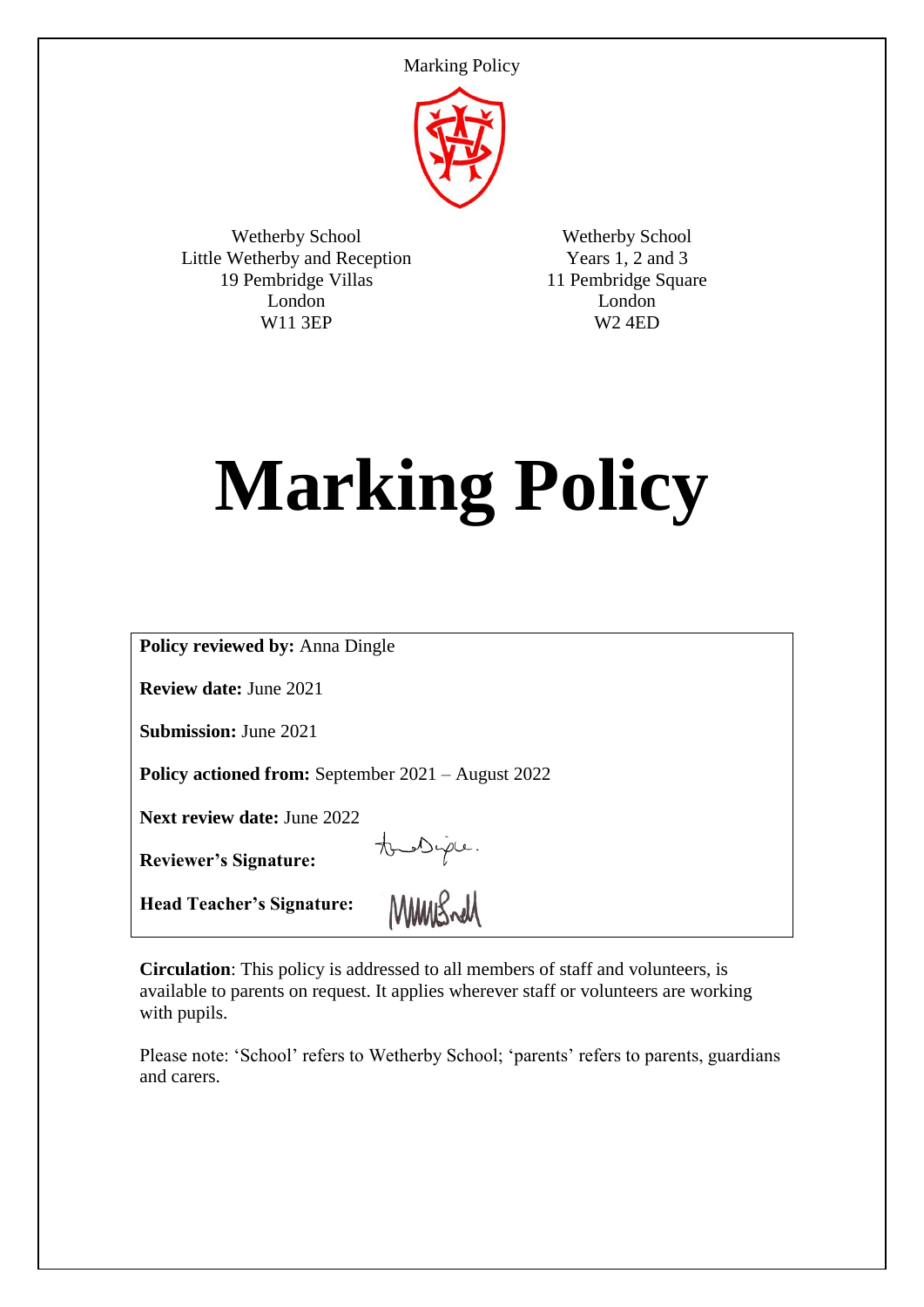Marking Policy



Wetherby School Little Wetherby and Reception 19 Pembridge Villas London W11 3EP

Wetherby School Years 1, 2 and 3 11 Pembridge Square London W2 4ED

# **Marking Policy**

| <b>Policy reviewed by: Anna Dingle</b>                    |
|-----------------------------------------------------------|
| <b>Review date: June 2021</b>                             |
| <b>Submission: June 2021</b>                              |
| <b>Policy actioned from:</b> September 2021 – August 2022 |
| <b>Next review date: June 2022</b>                        |
| the Diple.<br><b>Reviewer's Signature:</b>                |
| <b>Head Teacher's Signature:</b>                          |

**Circulation**: This policy is addressed to all members of staff and volunteers, is available to parents on request. It applies wherever staff or volunteers are working with pupils.

Please note: 'School' refers to Wetherby School; 'parents' refers to parents, guardians and carers.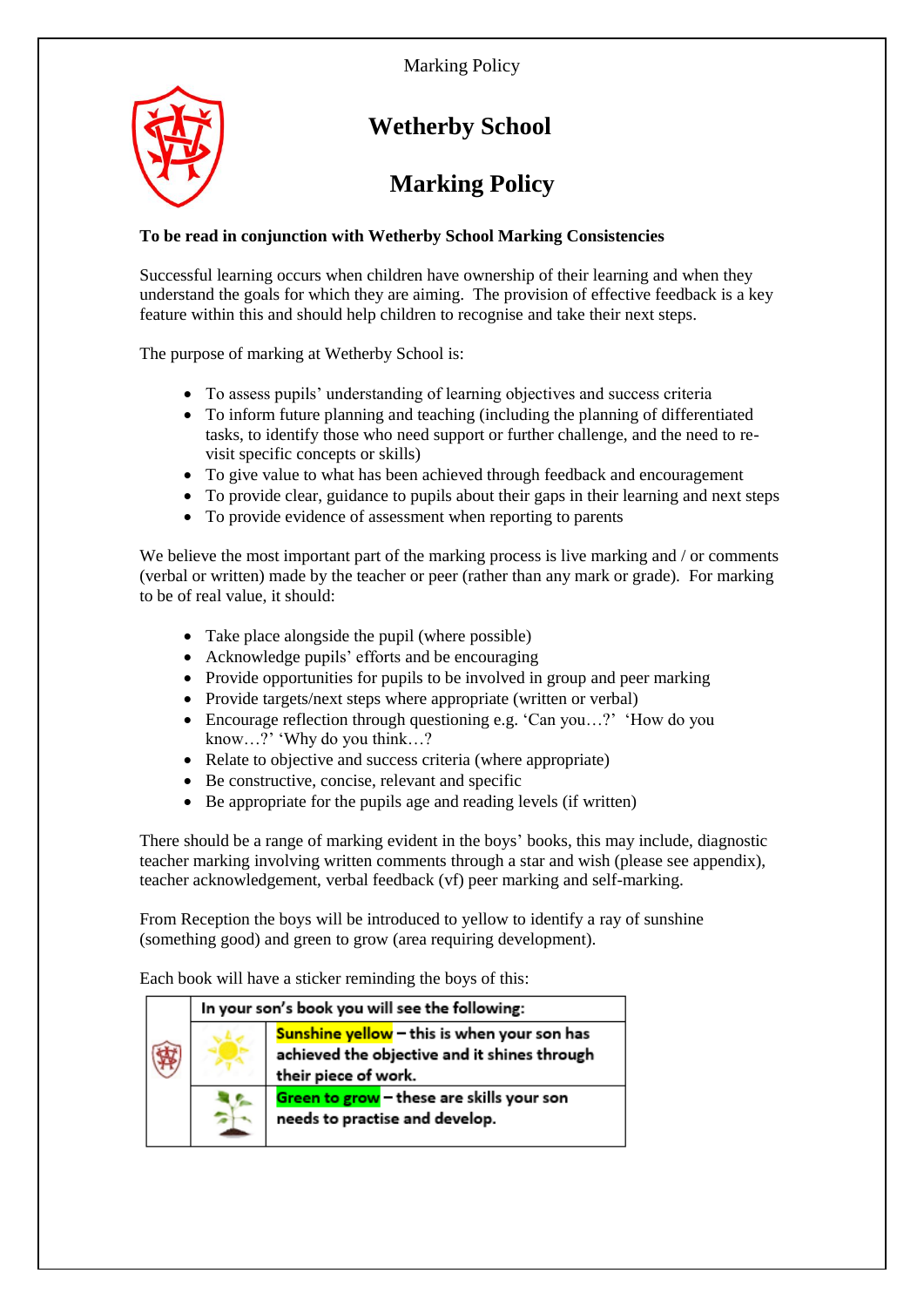

# **Wetherby School**

## **Marking Policy**

#### **To be read in conjunction with Wetherby School Marking Consistencies**

Successful learning occurs when children have ownership of their learning and when they understand the goals for which they are aiming. The provision of effective feedback is a key feature within this and should help children to recognise and take their next steps.

The purpose of marking at Wetherby School is:

- To assess pupils' understanding of learning objectives and success criteria
- To inform future planning and teaching (including the planning of differentiated tasks, to identify those who need support or further challenge, and the need to revisit specific concepts or skills)
- To give value to what has been achieved through feedback and encouragement
- To provide clear, guidance to pupils about their gaps in their learning and next steps
- To provide evidence of assessment when reporting to parents

We believe the most important part of the marking process is live marking and / or comments (verbal or written) made by the teacher or peer (rather than any mark or grade). For marking to be of real value, it should:

- Take place alongside the pupil (where possible)
- Acknowledge pupils' efforts and be encouraging
- Provide opportunities for pupils to be involved in group and peer marking
- Provide targets/next steps where appropriate (written or verbal)
- Encourage reflection through questioning e.g. 'Can you…?' 'How do you know…?' 'Why do you think…?
- Relate to objective and success criteria (where appropriate)
- Be constructive, concise, relevant and specific
- Be appropriate for the pupils age and reading levels (if written)

There should be a range of marking evident in the boys' books, this may include, diagnostic teacher marking involving written comments through a star and wish (please see appendix), teacher acknowledgement, verbal feedback (vf) peer marking and self-marking.

From Reception the boys will be introduced to yellow to identify a ray of sunshine (something good) and green to grow (area requiring development).

Each book will have a sticker reminding the boys of this:

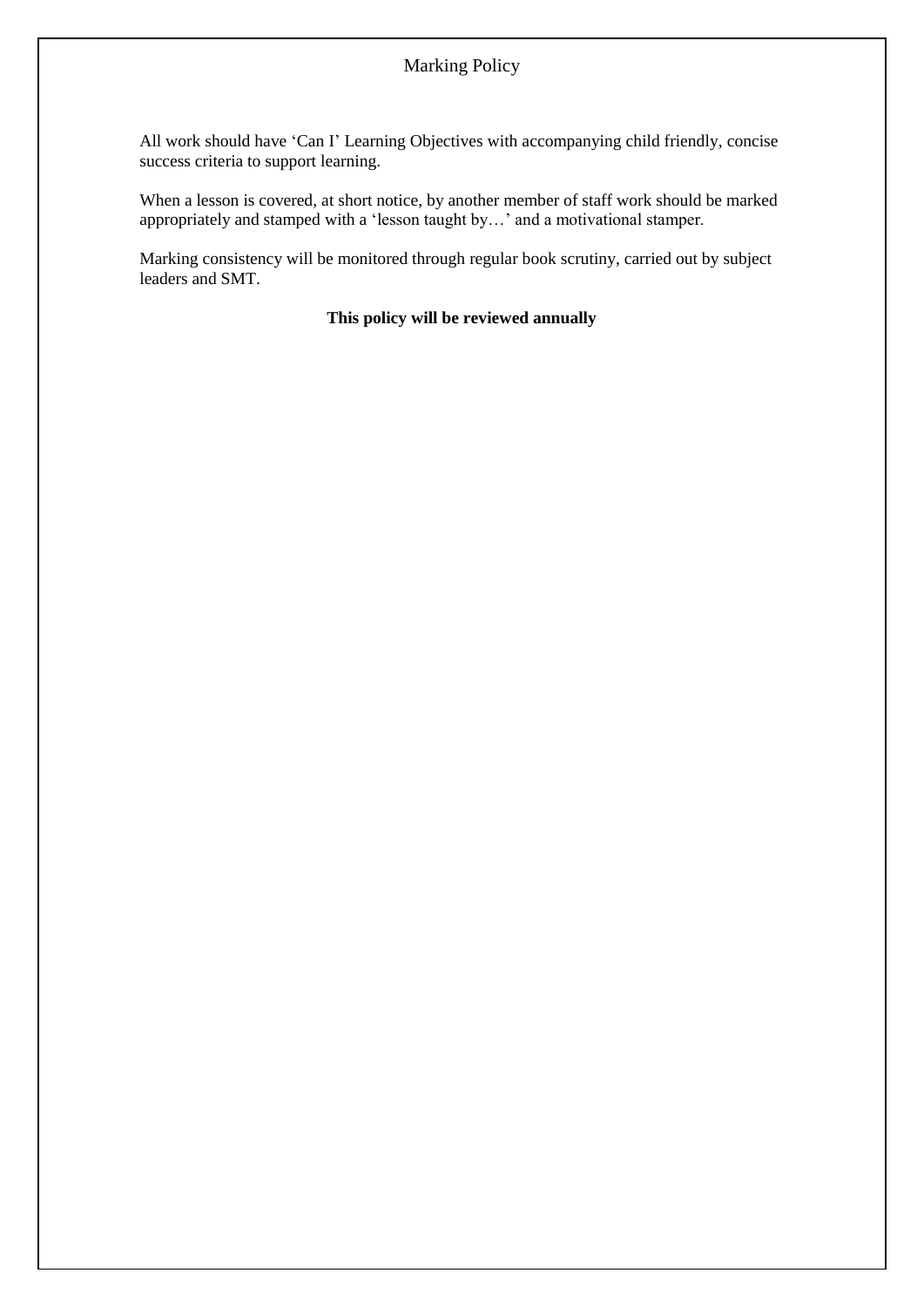### Marking Policy

All work should have 'Can I' Learning Objectives with accompanying child friendly, concise success criteria to support learning.

When a lesson is covered, at short notice, by another member of staff work should be marked appropriately and stamped with a 'lesson taught by…' and a motivational stamper.

Marking consistency will be monitored through regular book scrutiny, carried out by subject leaders and SMT.

#### **This policy will be reviewed annually**